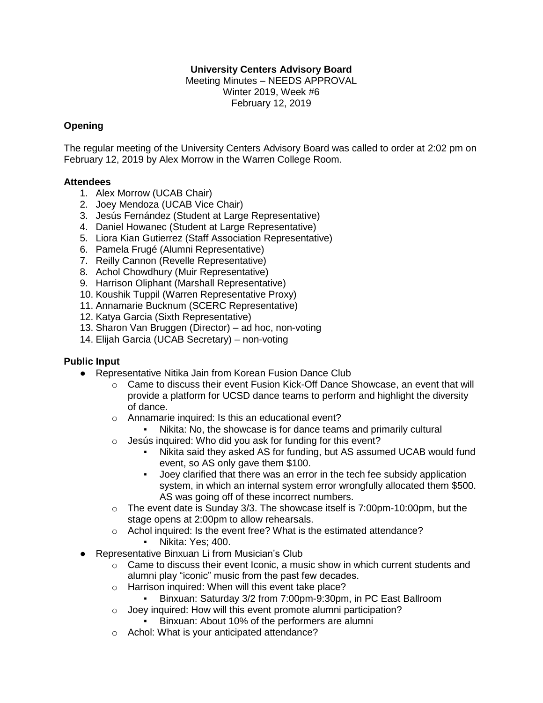### **University Centers Advisory Board**

Meeting Minutes – NEEDS APPROVAL Winter 2019, Week #6 February 12, 2019

### **Opening**

The regular meeting of the University Centers Advisory Board was called to order at 2:02 pm on February 12, 2019 by Alex Morrow in the Warren College Room.

#### **Attendees**

- 1. Alex Morrow (UCAB Chair)
- 2. Joey Mendoza (UCAB Vice Chair)
- 3. Jesús Fernández (Student at Large Representative)
- 4. Daniel Howanec (Student at Large Representative)
- 5. Liora Kian Gutierrez (Staff Association Representative)
- 6. Pamela Frugé (Alumni Representative)
- 7. Reilly Cannon (Revelle Representative)
- 8. Achol Chowdhury (Muir Representative)
- 9. Harrison Oliphant (Marshall Representative)
- 10. Koushik Tuppil (Warren Representative Proxy)
- 11. Annamarie Bucknum (SCERC Representative)
- 12. Katya Garcia (Sixth Representative)
- 13. Sharon Van Bruggen (Director) ad hoc, non-voting
- 14. Elijah Garcia (UCAB Secretary) non-voting

### **Public Input**

- Representative Nitika Jain from Korean Fusion Dance Club
	- $\circ$  Came to discuss their event Fusion Kick-Off Dance Showcase, an event that will provide a platform for UCSD dance teams to perform and highlight the diversity of dance.
	- o Annamarie inquired: Is this an educational event?
		- Nikita: No, the showcase is for dance teams and primarily cultural
	- o Jesús inquired: Who did you ask for funding for this event?
		- Nikita said they asked AS for funding, but AS assumed UCAB would fund event, so AS only gave them \$100.
		- Joey clarified that there was an error in the tech fee subsidy application system, in which an internal system error wrongfully allocated them \$500. AS was going off of these incorrect numbers.
	- o The event date is Sunday 3/3. The showcase itself is 7:00pm-10:00pm, but the stage opens at 2:00pm to allow rehearsals.
	- o Achol inquired: Is the event free? What is the estimated attendance? ▪ Nikita: Yes; 400.
- Representative Binxuan Li from Musician's Club
	- $\circ$  Came to discuss their event Iconic, a music show in which current students and alumni play "iconic" music from the past few decades.
	- o Harrison inquired: When will this event take place?
		- Binxuan: Saturday 3/2 from 7:00pm-9:30pm, in PC East Ballroom
	- o Joey inquired: How will this event promote alumni participation?
		- Binxuan: About 10% of the performers are alumni
	- o Achol: What is your anticipated attendance?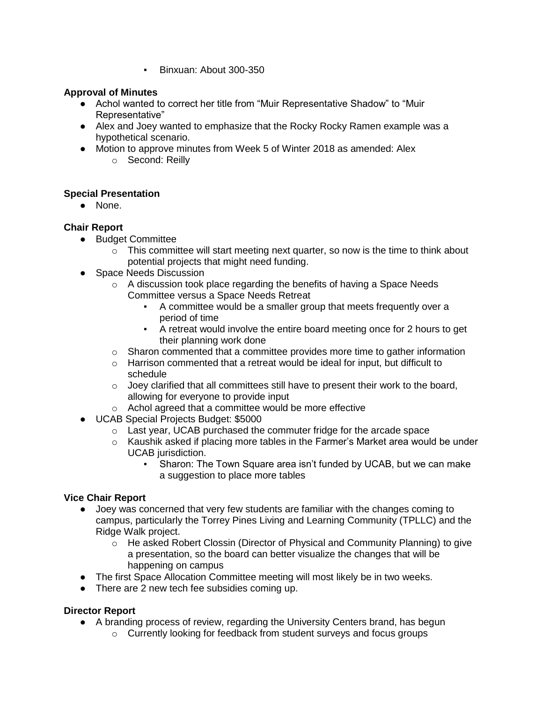▪ Binxuan: About 300-350

### **Approval of Minutes**

- Achol wanted to correct her title from "Muir Representative Shadow" to "Muir Representative"
- Alex and Joey wanted to emphasize that the Rocky Rocky Ramen example was a hypothetical scenario.
- Motion to approve minutes from Week 5 of Winter 2018 as amended: Alex o Second: Reilly

# **Special Presentation**

● None.

# **Chair Report**

- Budget Committee
	- $\circ$  This committee will start meeting next quarter, so now is the time to think about potential projects that might need funding.
- Space Needs Discussion
	- o A discussion took place regarding the benefits of having a Space Needs Committee versus a Space Needs Retreat
		- A committee would be a smaller group that meets frequently over a period of time
		- A retreat would involve the entire board meeting once for 2 hours to get their planning work done
	- $\circ$  Sharon commented that a committee provides more time to gather information
	- o Harrison commented that a retreat would be ideal for input, but difficult to schedule
	- $\circ$  Joey clarified that all committees still have to present their work to the board, allowing for everyone to provide input
	- o Achol agreed that a committee would be more effective
- UCAB Special Projects Budget: \$5000
	- o Last year, UCAB purchased the commuter fridge for the arcade space
	- $\circ$  Kaushik asked if placing more tables in the Farmer's Market area would be under UCAB jurisdiction.
		- Sharon: The Town Square area isn't funded by UCAB, but we can make a suggestion to place more tables

### **Vice Chair Report**

- Joey was concerned that very few students are familiar with the changes coming to campus, particularly the Torrey Pines Living and Learning Community (TPLLC) and the Ridge Walk project.
	- o He asked Robert Clossin (Director of Physical and Community Planning) to give a presentation, so the board can better visualize the changes that will be happening on campus
- The first Space Allocation Committee meeting will most likely be in two weeks.
- There are 2 new tech fee subsidies coming up.

# **Director Report**

- A branding process of review, regarding the University Centers brand, has begun
	- o Currently looking for feedback from student surveys and focus groups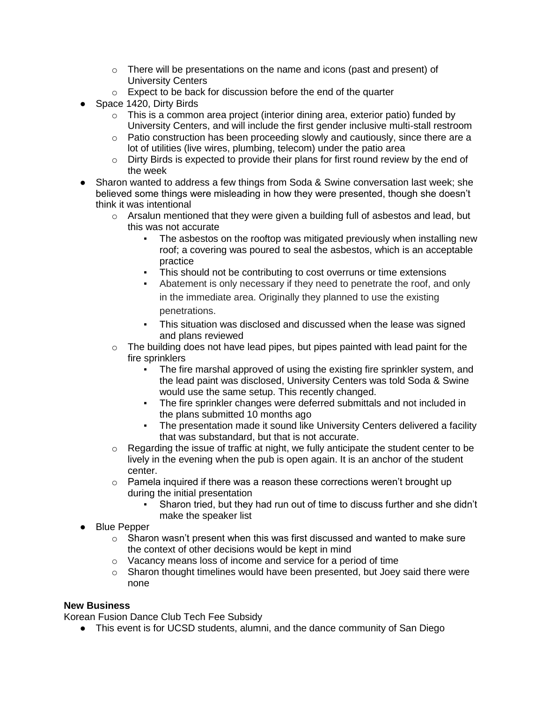- o There will be presentations on the name and icons (past and present) of University Centers
- o Expect to be back for discussion before the end of the quarter
- Space 1420, Dirty Birds
	- $\circ$  This is a common area project (interior dining area, exterior patio) funded by University Centers, and will include the first gender inclusive multi-stall restroom
	- o Patio construction has been proceeding slowly and cautiously, since there are a lot of utilities (live wires, plumbing, telecom) under the patio area
	- o Dirty Birds is expected to provide their plans for first round review by the end of the week
- Sharon wanted to address a few things from Soda & Swine conversation last week; she believed some things were misleading in how they were presented, though she doesn't think it was intentional
	- $\circ$  Arsalun mentioned that they were given a building full of asbestos and lead, but this was not accurate
		- The asbestos on the rooftop was mitigated previously when installing new roof; a covering was poured to seal the asbestos, which is an acceptable practice
		- This should not be contributing to cost overruns or time extensions
			- Abatement is only necessary if they need to penetrate the roof, and only in the immediate area. Originally they planned to use the existing penetrations.
		- This situation was disclosed and discussed when the lease was signed and plans reviewed
	- $\circ$  The building does not have lead pipes, but pipes painted with lead paint for the fire sprinklers
		- The fire marshal approved of using the existing fire sprinkler system, and the lead paint was disclosed, University Centers was told Soda & Swine would use the same setup. This recently changed.
		- The fire sprinkler changes were deferred submittals and not included in the plans submitted 10 months ago
		- The presentation made it sound like University Centers delivered a facility that was substandard, but that is not accurate.
	- o Regarding the issue of traffic at night, we fully anticipate the student center to be lively in the evening when the pub is open again. It is an anchor of the student center.
	- $\circ$  Pamela inquired if there was a reason these corrections weren't brought up during the initial presentation
		- Sharon tried, but they had run out of time to discuss further and she didn't make the speaker list
- Blue Pepper
	- $\circ$  Sharon wasn't present when this was first discussed and wanted to make sure the context of other decisions would be kept in mind
	- o Vacancy means loss of income and service for a period of time
	- o Sharon thought timelines would have been presented, but Joey said there were none

### **New Business**

Korean Fusion Dance Club Tech Fee Subsidy

• This event is for UCSD students, alumni, and the dance community of San Diego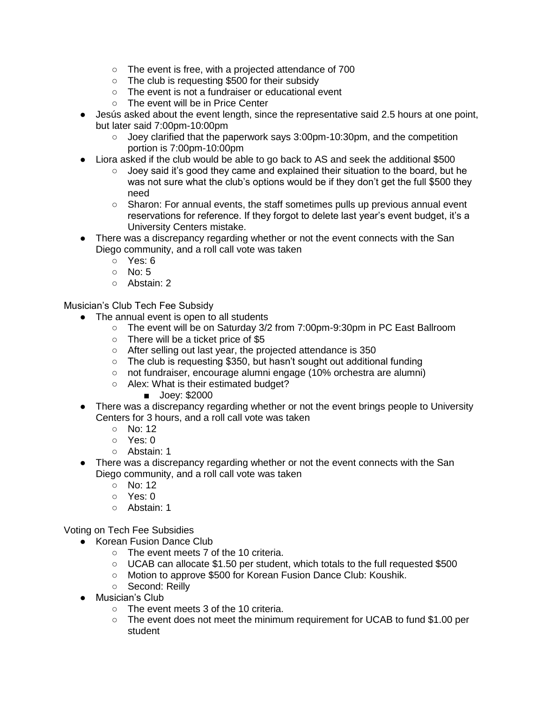- The event is free, with a projected attendance of 700
- The club is requesting \$500 for their subsidy
- The event is not a fundraiser or educational event
- The event will be in Price Center
- Jesús asked about the event length, since the representative said 2.5 hours at one point, but later said 7:00pm-10:00pm
	- $\circ$  Joey clarified that the paperwork says 3:00pm-10:30pm, and the competition portion is 7:00pm-10:00pm
- Liora asked if the club would be able to go back to AS and seek the additional \$500
	- Joey said it's good they came and explained their situation to the board, but he was not sure what the club's options would be if they don't get the full \$500 they need
	- Sharon: For annual events, the staff sometimes pulls up previous annual event reservations for reference. If they forgot to delete last year's event budget, it's a University Centers mistake.
- There was a discrepancy regarding whether or not the event connects with the San Diego community, and a roll call vote was taken
	- Yes: 6
	- $\circ$  No: 5
	- Abstain: 2

Musician's Club Tech Fee Subsidy

- The annual event is open to all students
	- The event will be on Saturday 3/2 from 7:00pm-9:30pm in PC East Ballroom
	- There will be a ticket price of \$5
	- After selling out last year, the projected attendance is 350
	- The club is requesting \$350, but hasn't sought out additional funding
	- not fundraiser, encourage alumni engage (10% orchestra are alumni)
	- Alex: What is their estimated budget?
		- Joey: \$2000
- There was a discrepancy regarding whether or not the event brings people to University Centers for 3 hours, and a roll call vote was taken
	- No: 12
	- Yes: 0
	- Abstain: 1
- There was a discrepancy regarding whether or not the event connects with the San Diego community, and a roll call vote was taken
	- $\circ$  No: 12
	- Yes: 0
	- Abstain: 1

Voting on Tech Fee Subsidies

- Korean Fusion Dance Club
	- The event meets 7 of the 10 criteria.
	- UCAB can allocate \$1.50 per student, which totals to the full requested \$500
	- Motion to approve \$500 for Korean Fusion Dance Club: Koushik.
	- Second: Reilly
- Musician's Club
	- The event meets 3 of the 10 criteria.
	- The event does not meet the minimum requirement for UCAB to fund \$1.00 per student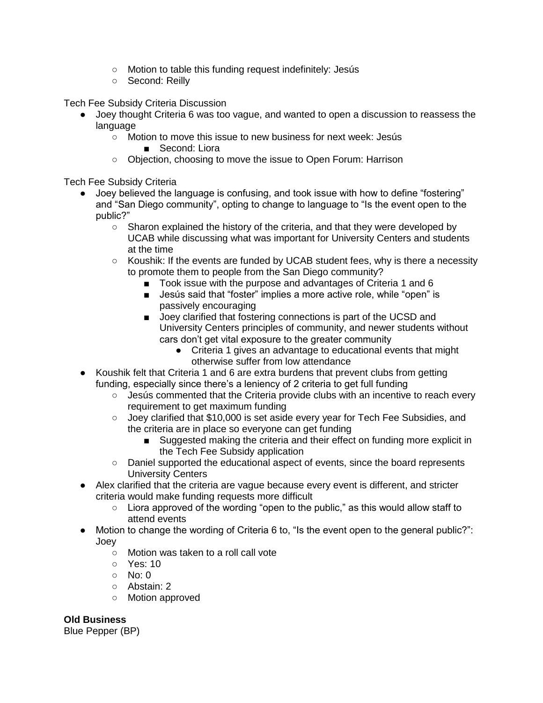- Motion to table this funding request indefinitely: Jesús
- Second: Reilly

Tech Fee Subsidy Criteria Discussion

- Joey thought Criteria 6 was too vague, and wanted to open a discussion to reassess the language
	- Motion to move this issue to new business for next week: Jesús ■ Second: Liora
	- Objection, choosing to move the issue to Open Forum: Harrison

Tech Fee Subsidy Criteria

- Joey believed the language is confusing, and took issue with how to define "fostering" and "San Diego community", opting to change to language to "Is the event open to the public?"
	- Sharon explained the history of the criteria, and that they were developed by UCAB while discussing what was important for University Centers and students at the time
	- Koushik: If the events are funded by UCAB student fees, why is there a necessity to promote them to people from the San Diego community?
		- Took issue with the purpose and advantages of Criteria 1 and 6
		- Jesús said that "foster" implies a more active role, while "open" is passively encouraging
		- Joey clarified that fostering connections is part of the UCSD and University Centers principles of community, and newer students without cars don't get vital exposure to the greater community
			- Criteria 1 gives an advantage to educational events that might otherwise suffer from low attendance
- Koushik felt that Criteria 1 and 6 are extra burdens that prevent clubs from getting funding, especially since there's a leniency of 2 criteria to get full funding
	- Jesús commented that the Criteria provide clubs with an incentive to reach every requirement to get maximum funding
	- Joey clarified that \$10,000 is set aside every year for Tech Fee Subsidies, and the criteria are in place so everyone can get funding
		- Suggested making the criteria and their effect on funding more explicit in the Tech Fee Subsidy application
	- Daniel supported the educational aspect of events, since the board represents University Centers
- Alex clarified that the criteria are vague because every event is different, and stricter criteria would make funding requests more difficult
	- Liora approved of the wording "open to the public," as this would allow staff to attend events
- Motion to change the wording of Criteria 6 to, "Is the event open to the general public?": Joey
	- Motion was taken to a roll call vote
	- Yes: 10
	- $\circ$  No: 0
	- Abstain: 2
	- Motion approved

**Old Business**

Blue Pepper (BP)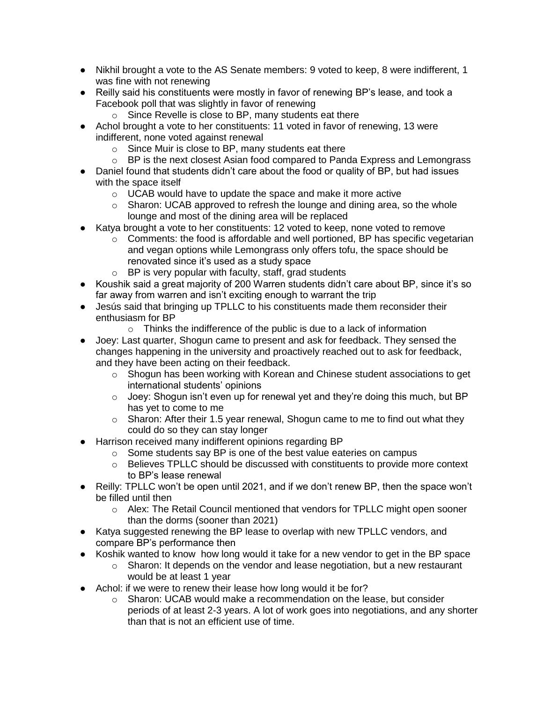- Nikhil brought a vote to the AS Senate members: 9 voted to keep, 8 were indifferent, 1 was fine with not renewing
- Reilly said his constituents were mostly in favor of renewing BP's lease, and took a Facebook poll that was slightly in favor of renewing
	- o Since Revelle is close to BP, many students eat there
- Achol brought a vote to her constituents: 11 voted in favor of renewing, 13 were indifferent, none voted against renewal
	- o Since Muir is close to BP, many students eat there
	- o BP is the next closest Asian food compared to Panda Express and Lemongrass
- Daniel found that students didn't care about the food or quality of BP, but had issues with the space itself
	- o UCAB would have to update the space and make it more active
	- o Sharon: UCAB approved to refresh the lounge and dining area, so the whole lounge and most of the dining area will be replaced
- Katya brought a vote to her constituents: 12 voted to keep, none voted to remove
	- $\circ$  Comments: the food is affordable and well portioned, BP has specific vegetarian and vegan options while Lemongrass only offers tofu, the space should be renovated since it's used as a study space
	- $\circ$  BP is very popular with faculty, staff, grad students
- Koushik said a great majority of 200 Warren students didn't care about BP, since it's so far away from warren and isn't exciting enough to warrant the trip
- Jesús said that bringing up TPLLC to his constituents made them reconsider their enthusiasm for BP
	- o Thinks the indifference of the public is due to a lack of information
- Joey: Last quarter, Shogun came to present and ask for feedback. They sensed the changes happening in the university and proactively reached out to ask for feedback, and they have been acting on their feedback.
	- $\circ$  Shogun has been working with Korean and Chinese student associations to get international students' opinions
	- $\circ$  Joey: Shogun isn't even up for renewal yet and they're doing this much, but BP has yet to come to me
	- $\circ$  Sharon: After their 1.5 year renewal, Shogun came to me to find out what they could do so they can stay longer
- Harrison received many indifferent opinions regarding BP
	- o Some students say BP is one of the best value eateries on campus
	- o Believes TPLLC should be discussed with constituents to provide more context to BP's lease renewal
- Reilly: TPLLC won't be open until 2021, and if we don't renew BP, then the space won't be filled until then
	- $\circ$  Alex: The Retail Council mentioned that vendors for TPLLC might open sooner than the dorms (sooner than 2021)
- Katya suggested renewing the BP lease to overlap with new TPLLC vendors, and compare BP's performance then
- Koshik wanted to know how long would it take for a new vendor to get in the BP space
	- $\circ$  Sharon: It depends on the vendor and lease negotiation, but a new restaurant would be at least 1 year
- Achol: if we were to renew their lease how long would it be for?
	- $\circ$  Sharon: UCAB would make a recommendation on the lease, but consider periods of at least 2-3 years. A lot of work goes into negotiations, and any shorter than that is not an efficient use of time.